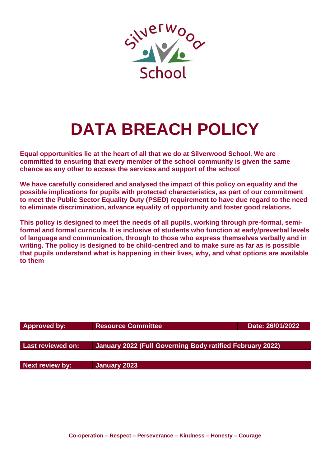

# **DATA BREACH POLICY**

**Equal opportunities lie at the heart of all that we do at Silverwood School. We are committed to ensuring that every member of the school community is given the same chance as any other to access the services and support of the school**

**We have carefully considered and analysed the impact of this policy on equality and the possible implications for pupils with protected characteristics, as part of our commitment to meet the Public Sector Equality Duty (PSED) requirement to have due regard to the need to eliminate discrimination, advance equality of opportunity and foster good relations.**

**This policy is designed to meet the needs of all pupils, working through pre-formal, semiformal and formal curricula. It is inclusive of students who function at early/preverbal levels of language and communication, through to those who express themselves verbally and in writing. The policy is designed to be child-centred and to make sure as far as is possible that pupils understand what is happening in their lives, why, and what options are available to them**

| <b>Approved by:</b>    | <b>Resource Committee</b>                                 | Date: 26/01/2022 |
|------------------------|-----------------------------------------------------------|------------------|
|                        |                                                           |                  |
| Last reviewed on:      | January 2022 (Full Governing Body ratified February 2022) |                  |
|                        |                                                           |                  |
| <b>Next review by:</b> | January 2023                                              |                  |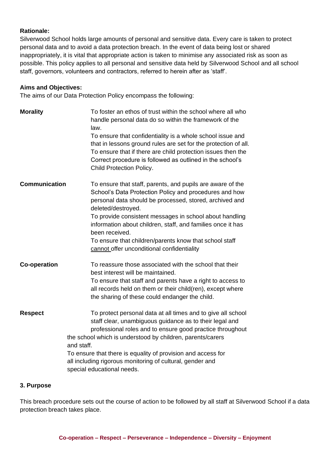#### **Rationale:**

Silverwood School holds large amounts of personal and sensitive data. Every care is taken to protect personal data and to avoid a data protection breach. In the event of data being lost or shared inappropriately, it is vital that appropriate action is taken to minimise any associated risk as soon as possible. This policy applies to all personal and sensitive data held by Silverwood School and all school staff, governors, volunteers and contractors, referred to herein after as 'staff'.

#### **Aims and Objectives:**

The aims of our Data Protection Policy encompass the following:

| <b>Morality</b>      | To foster an ethos of trust within the school where all who<br>handle personal data do so within the framework of the<br>law.<br>To ensure that confidentiality is a whole school issue and<br>that in lessons ground rules are set for the protection of all.<br>To ensure that if there are child protection issues then the<br>Correct procedure is followed as outlined in the school's<br>Child Protection Policy.     |
|----------------------|-----------------------------------------------------------------------------------------------------------------------------------------------------------------------------------------------------------------------------------------------------------------------------------------------------------------------------------------------------------------------------------------------------------------------------|
| <b>Communication</b> | To ensure that staff, parents, and pupils are aware of the<br>School's Data Protection Policy and procedures and how<br>personal data should be processed, stored, archived and<br>deleted/destroyed.<br>To provide consistent messages in school about handling<br>information about children, staff, and families once it has<br>been received.<br>To ensure that children/parents know that school staff                 |
|                      | cannot offer unconditional confidentiality                                                                                                                                                                                                                                                                                                                                                                                  |
| <b>Co-operation</b>  | To reassure those associated with the school that their<br>best interest will be maintained.<br>To ensure that staff and parents have a right to access to<br>all records held on them or their child(ren), except where<br>the sharing of these could endanger the child.                                                                                                                                                  |
| <b>Respect</b>       | To protect personal data at all times and to give all school<br>staff clear, unambiguous guidance as to their legal and<br>professional roles and to ensure good practice throughout<br>the school which is understood by children, parents/carers<br>and staff.<br>To ensure that there is equality of provision and access for<br>all including rigorous monitoring of cultural, gender and<br>special educational needs. |

#### **3. Purpose**

This breach procedure sets out the course of action to be followed by all staff at Silverwood School if a data protection breach takes place.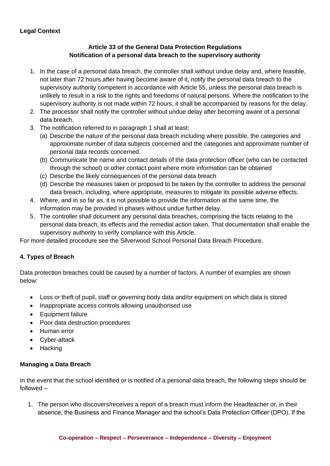# **Legal Context**

# **Article 33 of the General Data Protection Regulations Notification of a personal data breach to the supervisory authority**

- 1. In the case of a personal data breach, the controller shall without undue delay and, where feasible, not later than 72 hours after having become aware of it, notify the personal data breach to the supervisory authority competent in accordance with Article 55, unless the personal data breach is unlikely to result in a risk to the rights and freedoms of natural persons. Where the notification to the supervisory authority is not made within 72 hours, it shall be accompanied by reasons for the delay.
- 2. The processor shall notify the controller without undue delay after becoming aware of a personal data breach.
- 3. The notification referred to in paragraph 1 shall at least:
	- (a) Describe the nature of the personal data breach including where possible, the categories and approximate number of data subjects concerned and the categories and approximate number of personal data records concerned.
	- (b) Communicate the name and contact details of the data protection officer (who can be contacted through the school) or other contact point where more information can be obtained
	- (c) Describe the likely consequences of the personal data breach
	- (d) Describe the measures taken or proposed to be taken by the controller to address the personal data breach, including, where appropriate, measures to mitigate its possible adverse effects.
- 4. Where, and in so far as, it is not possible to provide the information at the same time, the information may be provided in phases without undue further delay.
- 5. The controller shall document any personal data breaches, comprising the facts relating to the personal data breach, its effects and the remedial action taken. That documentation shall enable the supervisory authority to verify compliance with this Article.

For more detailed procedure see the Silverwood School Personal Data Breach Procedure.

### **4. Types of Breach**

Data protection breaches could be caused by a number of factors. A number of examples are shown below:

- Loss or theft of pupil, staff or governing body data and/or equipment on which data is stored
- Inappropriate access controls allowing unauthorised use
- Equipment failure
- Poor data destruction procedures
- Human error
- Cyber-attack
- Hacking

#### **Managing a Data Breach**

In the event that the school identified or is notified of a personal data breach, fhe following steps should be followed –

1. The person who discovers/receives a report of a breach must inform the Headteacher or, in their absence, the Business and Finance Manager and the school's Data Protection Officer (DPO). If the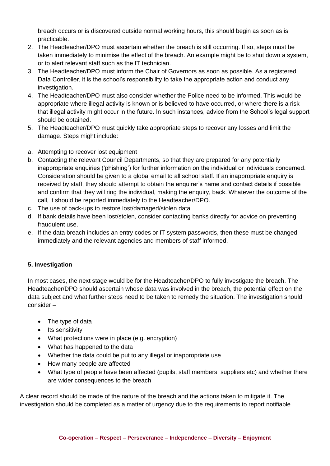breach occurs or is discovered outside normal working hours, this should begin as soon as is practicable.

- 2. The Headteacher/DPO must ascertain whether the breach is still occurring. If so, steps must be taken immediately to minimise the effect of the breach. An example might be to shut down a system, or to alert relevant staff such as the IT technician.
- 3. The Headteacher/DPO must inform the Chair of Governors as soon as possible. As a registered Data Controller, it is the school's responsibility to take the appropriate action and conduct any investigation.
- 4. The Headteacher/DPO must also consider whether the Police need to be informed. This would be appropriate where illegal activity is known or is believed to have occurred, or where there is a risk that illegal activity might occur in the future. In such instances, advice from the School's legal support should be obtained.
- 5. The Headteacher/DPO must quickly take appropriate steps to recover any losses and limit the damage. Steps might include:
- a. Attempting to recover lost equipment
- b. Contacting the relevant Council Departments, so that they are prepared for any potentially inappropriate enquiries ('phishing') for further information on the individual or individuals concerned. Consideration should be given to a global email to all school staff. If an inappropriate enquiry is received by staff, they should attempt to obtain the enquirer's name and contact details if possible and confirm that they will ring the individual, making the enquiry, back. Whatever the outcome of the call, it should be reported immediately to the Headteacher/DPO.
- c. The use of back-ups to restore lost/damaged/stolen data
- d. If bank details have been lost/stolen, consider contacting banks directly for advice on preventing fraudulent use.
- e. If the data breach includes an entry codes or IT system passwords, then these must be changed immediately and the relevant agencies and members of staff informed.

# **5. Investigation**

In most cases, the next stage would be for the Headteacher/DPO to fully investigate the breach. The Headteacher/DPO should ascertain whose data was involved in the breach, the potential effect on the data subject and what further steps need to be taken to remedy the situation. The investigation should consider –

- The type of data
- Its sensitivity
- What protections were in place (e.g. encryption)
- What has happened to the data
- Whether the data could be put to any illegal or inappropriate use
- How many people are affected
- What type of people have been affected (pupils, staff members, suppliers etc) and whether there are wider consequences to the breach

A clear record should be made of the nature of the breach and the actions taken to mitigate it. The investigation should be completed as a matter of urgency due to the requirements to report notifiable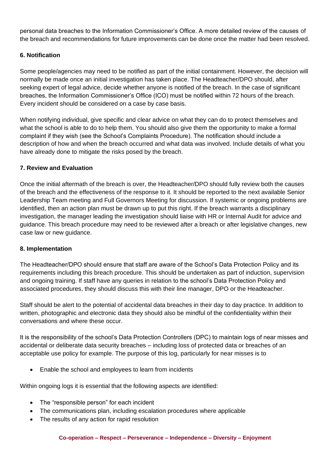personal data breaches to the Information Commissioner's Office. A more detailed review of the causes of the breach and recommendations for future improvements can be done once the matter had been resolved.

# **6. Notification**

Some people/agencies may need to be notified as part of the initial containment. However, the decision will normally be made once an initial investigation has taken place. The Headteacher/DPO should, after seeking expert of legal advice, decide whether anyone is notified of the breach. In the case of significant breaches, the Information Commissioner's Office (ICO) must be notified within 72 hours of the breach. Every incident should be considered on a case by case basis.

When notifying individual, give specific and clear advice on what they can do to protect themselves and what the school is able to do to help them. You should also give them the opportunity to make a formal complaint if they wish (see the School's Complaints Procedure). The notification should include a description of how and when the breach occurred and what data was involved. Include details of what you have already done to mitigate the risks posed by the breach.

### **7. Review and Evaluation**

Once the initial aftermath of the breach is over, the Headteacher/DPO should fully review both the causes of the breach and the effectiveness of the response to it. It should be reported to the next available Senior Leadership Team meeting and Full Governors Meeting for discussion. If systemic or ongoing problems are identified, then an action plan must be drawn up to put this right. If the breach warrants a disciplinary investigation, the manager leading the investigation should liaise with HR or Internal Audit for advice and guidance. This breach procedure may need to be reviewed after a breach or after legislative changes, new case law or new guidance.

#### **8. Implementation**

The Headteacher/DPO should ensure that staff are aware of the School's Data Protection Policy and its requirements including this breach procedure. This should be undertaken as part of induction, supervision and ongoing training. If staff have any queries in relation to the school's Data Protection Policy and associated procedures, they should discuss this with their line manager, DPO or the Headteacher.

Staff should be alert to the potential of accidental data breaches in their day to day practice. In addition to written, photographic and electronic data they should also be mindful of the confidentiality within their conversations and where these occur.

It is the responsibility of the school's Data Protection Controllers (DPC) to maintain logs of near misses and accidental or deliberate data security breaches – including loss of protected data or breaches of an acceptable use policy for example. The purpose of this log, particularly for near misses is to

• Enable the school and employees to learn from incidents

Within ongoing logs it is essential that the following aspects are identified:

- The "responsible person" for each incident
- The communications plan, including escalation procedures where applicable
- The results of any action for rapid resolution